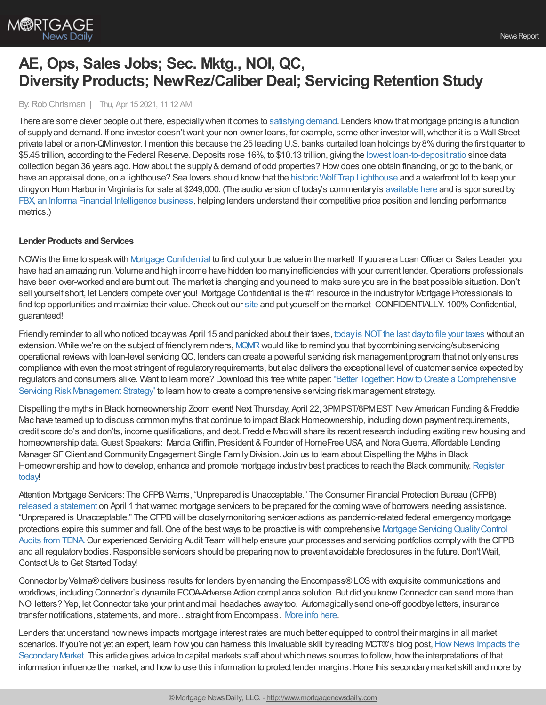# **AE, Ops, Sales Jobs; Sec. Mktg., NOI, QC, Diversity Products; NewRez/Caliber Deal; Servicing Retention Study**

By: Rob Chrisman | Thu, Apr 15 2021, 11:12 AM

There are some clever people out there, especially when it comes to [satisfying](https://twitter.com/venturecommunis/status/1382021419144470530) demand. Lenders know that mortgage pricing is a function of supply and demand. If one investor doesn't want your non-owner loans, for example, some other investor will, whether it is a Wall Street private label or a non-QMinvestor. I mention this because the 25 leading U.S. banks curtailed loan holdings by8%during the first quarter to \$5.45 trillion, according to the Federal Reserve. Deposits rose 16%, to \$10.13 trillion, giving the lowest [loan-to-deposit](https://www.bloomberg.com/news/articles/2021-04-12/big-u-s-banks-cut-loans-to-record-low-again-as-deposits-jump) ratio since data collection began 36 years ago. How about the supply & demand of odd properties? How does one obtain financing, or go to the bank, or have an appraisal done, on a lighthouse? Sea lovers should knowthat the historic Wolf Trap [Lighthouse](https://mailchi.us4.list-manage.com/track/click?u=14a0fe1dec06796a166a359e5&id=8b05ddbf4c&e=ee8aeffe98) and a waterfront lot to keep your dingyon Horn Harbor in Virginia is for sale at \$249,000. (The audio version of today's commentaryis [available](https://linktr.ee/dailymortgagenews) here and is sponsored by FBX, an Informa Financial [Intelligence](https://financialintelligence.informa.com/mortgage-peer-benchmarking?utm_source=Robbie%20Chrisman&utm_medium=Podcast&utm_campaign=PR) business, helping lenders understand their competitive price position and lending performance metrics.)

### **Lender Products and Services**

NOW is the time to speak with Mortgage [Confidential](http://www.mortgage-confidential.com/) to find out your true value in the market! If you are a Loan Officer or Sales Leader, you have had an amazing run. Volume and high income have hidden too many inefficiencies with your current lender. Operations professionals have been over-worked and are burnt out. The market is changing and you need to make sure you are in the best possible situation. Don't sell yourself short, let Lenders compete over you! Mortgage Confidential is the #1 resource in the industryfor Mortgage Professionals to find top opportunities and maximize their value. Check out our [site](http://www.mortgage-confidential.com/) and put yourself on the market- CONFIDENTIALLY. 100% Confidential, guaranteed!

Friendly reminder to all who noticed todaywas April 15 and panicked about their taxes, today is NOT the last day to file your taxes without an extension. While we're on the subject of friendly reminders, [MQMR](https://www.mqmresearch.com/) would like to remind you that by combining servicing/subservicing operational reviews with loan-level servicingQC, lenders can create a powerful servicing risk management program that not onlyensures compliance with even the most stringent of regulatoryrequirements, but also delivers the exceptional level of customer service expected by regulators and consumers alike. Want to learn more? Download this free white paper: "Better Together: How to Create a Comprehensive Servicing Risk Management Strategy" to learn how to create a comprehensive servicing risk management strategy.

Dispelling the myths in Black homeownership Zoom event! Next Thursday, April 22, 3PMPST/6PMEST, New American Funding & Freddie Mac have teamed up to discuss common myths that continue to impact Black Homeownership, including down payment requirements, credit score do's and don'ts, income qualifications, and debt. Freddie Macwill share its recent research including exciting newhousing and homeownership data. Guest Speakers: Marcia Griffin, President & Founder of HomeFree USA, and Nora Guerra, Affordable Lending Manager SF Client and Community Engagement Single Family Division. Join us to learn about Dispelling the Myths in Black Homeownership and how to develop, enhance and promote mortgage industry best practices to reach the Black community. Register today!

Attention Mortgage Servicers: The CFPB Warns, "Unprepared is Unacceptable." The Consumer Financial Protection Bureau (CFPB) released a [statement](https://files.consumerfinance.gov/f/documents/cfpb_bulletin-2021-02_supervision-and-enforcement-priorities-regarding-housing_WHcae8E.pdf) on April 1 thatwarned mortgage servicers to be prepared for the coming wave of borrowers needing assistance. "Unprepared is Unacceptable." The CFPBwill be closelymonitoring servicer actions as pandemic-related federal emergencymortgage protections expire this summer and fall. One of the best ways to be proactive is with comprehensive Mortgage Servicing Quality Control Audits from TENA.Our experienced Servicing Audit Team will help ensure your processes and servicing portfolios complywith the CFPB and all regulatory bodies. Responsible servicers should be preparing now to prevent avoidable foreclosures in the future. Don't Wait, Contact Us to Get Started Today!

Connector byVelma®delivers business results for lenders byenhancing the Encompass®LOSwith exquisite communications and workflows, including Connector's dynamite ECOA-Adverse Action compliance solution. But did you knowConnector can send more than NOI letters? Yep, letConnector take your print and mail headaches awaytoo. Automagicallysend one-off goodbye letters, insurance transfer notifications, statements, and more…straight from Encompass. [More](https://www.meetvelma.com/campaigns/servicing-transfer-letters/?utm_source=chrisman&utm_medium=email&utm_campaign=apr-transfer-letters&utm_content=automate-letters) info here.

Lenders that understand hownews impacts mortgage interest rates are much better equipped to control their margins in all market scenarios. If you're not yet an expert, learn how you can harness this invaluable skill by reading MCT®'s blog post, How News Impacts the Secondary Market. This article gives advice to capital markets staff about which news sources to follow, how the interpretations of that information influence the market, and how to use this information to protect lender margins. Hone this secondary market skill and more by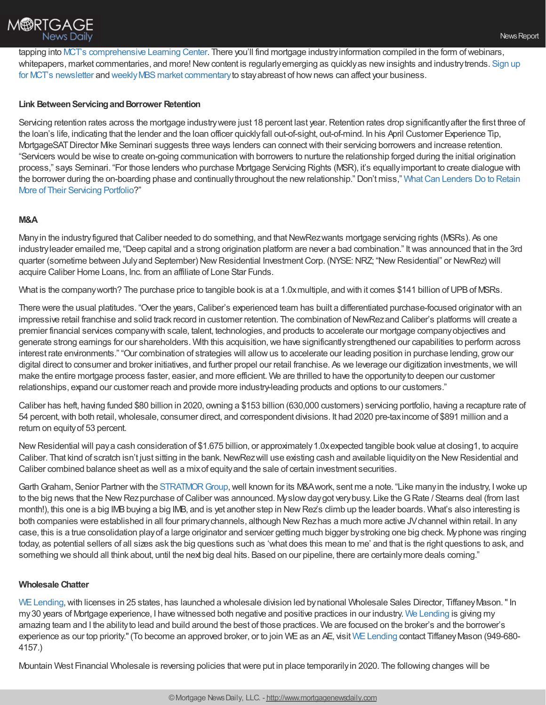# M®RTGAGE News Daily

tapping into MCT's [comprehensive](https://mct-trading.com/learn/?utm_source=Chrisman%20Blurb%204.14.21&utm_medium=Chrisman&utm_campaign=How%20News%20Impacts%20Secondary) Learning Center. There you'll find mortgage industry information compiled in the form of webinars, whitepapers, market commentaries, and more! New content is regularly emerging as quickly as new insights and industry trends. Sign up for MCT's newsletter and weekly MBS market commentary to stay abreast of how news can affect your business.

#### **Link Between Servicing and Borrower Retention**

Servicing retention rates across the mortgage industrywere just 18 percent last year. Retention rates drop significantly after the first three of the loan's life, indicating that the lender and the loan officer quicklyfall out-of-sight, out-of-mind. In his April Customer Experience Tip, MortgageSATDirector Mike Seminari suggests three ways lenders can connectwith their servicing borrowers and increase retention. "Servicers would be wise to create on-going communication with borrowers to nurture the relationship forged during the initial origination process," says Seminari. "For those lenders who purchase Mortgage Servicing Rights (MSR), it's equallyimportant to create dialogue with the borrower during the on-boarding phase and [continuallythroughout](https://www.stratmorgroup.com/mortgagesat_tips/what-can-lenders-do-to-retain-more-of-their-servicing-portfolios/) the newrelationship." Don't miss," WhatCan Lenders Do to Retain More of Their Servicing Portfolio?"

# **M&A**

Many in the industry figured that Caliber needed to do something, and that NewRezwants mortgage servicing rights (MSRs). As one industryleader emailed me, "Deep capital and a strong origination platform are never a bad combination." Itwas announced that in the 3rd quarter (sometime between Julyand September) New Residential Investment Corp. (NYSE: NRZ; "New Residential" or NewRez) will acquire Caliber Home Loans, Inc. from an affiliate of Lone Star Funds.

What is the company worth? The purchase price to tangible book is at a 1.0x multiple, and with it comes \$141 billion of UPB of MSRs.

There were the usual platitudes. "Over the years, Caliber's experienced team has built a differentiated purchase-focused originator with an impressive retail franchise and solid track record in customer retention. The combination of NewRez and Caliber's platforms will create a premier financial services companywith scale, talent, technologies, and products to accelerate our mortgage companyobjectives and generate strong earnings for our shareholders. With this acquisition, we have significantly strengthened our capabilities to perform across interest rate environments." "Our combination of strategies will allowus to accelerate our leading position in purchase lending, growour digital direct to consumer and broker initiatives, and further propel our retail franchise. As we leverage our digitization investments,we will make the entire mortgage process faster, easier, and more efficient. We are thrilled to have the opportunityto deepen our customer relationships, expand our customer reach and provide more industry-leading products and options to our customers."

Caliber has heft, having funded \$80 billion in 2020, owning a \$153 billion (630,000 customers) servicing portfolio, having a recapture rate of 54 percent,with both retail,wholesale, consumer direct, and correspondent divisions. It had 2020 pre-taxincome of \$891 million and a return on equity of 53 percent.

New Residential will pay a cash consideration of \$1.675 billion, or approximately 1.0xexpected tangible book value at closing1, to acquire Caliber. That kind of scratch isn't just sitting in the bank. NewRezwill use existing cash and available liquidity on the New Residential and Caliber combined balance sheet as well as a mixof equityand the sale of certain investment securities.

Garth Graham, Senior Partner with the STRATMOR Group, well known for its M&Awork, sent me a note. "Like many in the industry, I woke up to the big news that the New Rez purchase of Caliber was announced. My slow day got very busy. Like the G Rate / Stearns deal (from last month!), this one is a big IMB buying a big IMB, and is yet another step in New Rez's climb up the leader boards. What's also interesting is both companies were established in all four primary channels, although New Rezhas a much more active JV channel within retail. In any case, this is a true consolidation playof a large originator and servicer getting much bigger bystroking one big check. Myphone was ringing today, as potential sellers of all sizes ask the big questions such as 'what does this mean to me' and that is the right questions to ask, and something we should all think about, until the next big deal hits. Based on our pipeline, there are certainly more deals coming."

#### **Wholesale Chatter**

WE Lending, with licenses in 25 states, has launched a wholesale division led bynational Wholesale Sales Director, Tiffaney Mason." In my30 years of Mortgage experience, I have witnessed both negative and positive practices in our industry. We [Lending](http://www.mortgagenewsdaily.com/controlpanel/blogs/welendingwholesale.com) is giving my amazing team and I the abilityto lead and build around the best of those practices. We are focused on the broker's and the borrower's experience as our top priority." (To become an approved broker, or to join WE as an AE, visit WE Lending contact Tiffaney Mason (949-680-4157.)

Mountain West Financial Wholesale is reversing policies thatwere put in place temporarilyin 2020. The following changes will be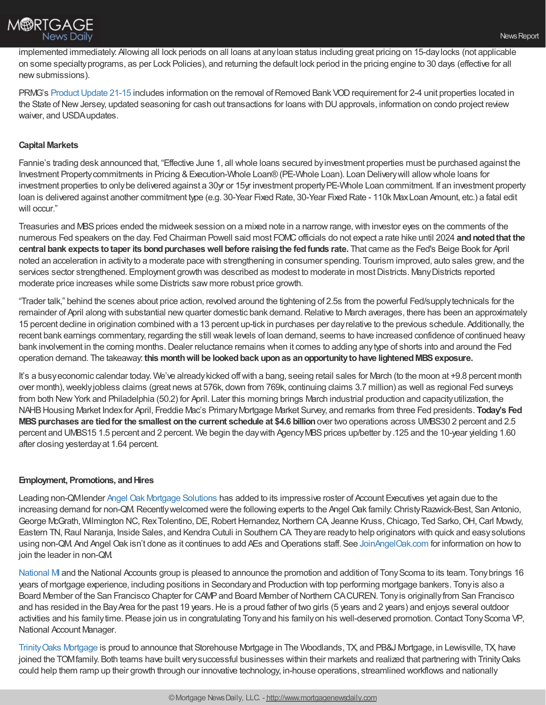

implemented immediately: Allowing all lock periods on all loans at anyloan status including great pricing on 15-daylocks (not applicable on some specialtyprograms, as per Lock Policies), and returning the default lock period in the pricing engine to 30 days (effective for all newsubmissions).

PRMG's Product Update 21-15 includes information on the removal of Removed Bank VOD requirement for 2-4 unit properties located in the State of New Jersey, updated seasoning for cash out transactions for loans with DU approvals, information on condo project review waiver, and USDAupdates.

## **Capital Markets**

Fannie's trading desk announced that, "Effective June 1, all whole loans secured byinvestment properties must be purchased against the Investment Property commitments in Pricing & Execution-Whole Loan® (PE-Whole Loan). Loan Delivery will allow whole loans for investment properties to only be delivered against a 30yr or 15yr investment property PE-Whole Loan commitment. If an investment property loan is delivered against another commitment type (e.g. 30-Year Fixed Rate, 30-Year Fixed Rate - 110k MaxLoan Amount, etc.) a fatal edit will occur."

Treasuries and MBSprices ended the midweek session on a mixed note in a narrowrange,with investor eyes on the comments of the numerous Fed speakers on the day. Fed Chairman Powell said most FOMCofficials do not expect a rate hike until 2024 **andnotedthat the central bank expects totaper its bondpurchaseswell before raisingthe fedfunds rate.** That came as the Fed's Beige Book for April noted an acceleration in activityto a moderate pace with strengthening in consumer spending. Tourism improved, auto sales grew, and the services sector strengthened. Employment growth was described as modest to moderate in most Districts. Many Districts reported moderate price increases while some Districts saw more robust price growth.

"Trader talk," behind the scenes about price action, revolved around the tightening of 2.5s from the powerful Fed/supplytechnicals for the remainder of April along with substantial new quarter domestic bank demand. Relative to March averages, there has been an approximately 15 percent decline in origination combined with a 13 percent up-tick in purchases per dayrelative to the previous schedule. Additionally, the recent bank earnings commentary, regarding the still weak levels of loan demand, seems to have increased confidence of continued heavy bank involvement in the coming months. Dealer reluctance remains when it comes to adding any type of shorts into and around the Fed operation demand. The takeaway: **this monthwill be lookedback uponas anopportunitytohave lightenedMBSexposure.**

It's a busy economic calendar today. We've already kicked off with a bang, seeing retail sales for March (to the moon at +9.8 percent month over month), weekly jobless claims (great news at 576k, down from 769k, continuing claims 3.7 million) as well as regional Fed surveys from both NewYork and Philadelphia (50.2) for April. Later this morning brings March industrial production and capacityutilization, the NAHBHousing Market Indexfor April, Freddie Mac's PrimaryMortgage Market Survey, and remarks from three Fed presidents. **Today's Fed MBSpurchases are tiedfor the smallest onthe current schedule at \$4.6 billion**over two operations across UMBS30 2 percent and 2.5 percent and UMBS15 1.5 percent and 2 percent. We begin the day with Agency MBS prices up/better by .125 and the 10-year yielding 1.60 after closing yesterdayat 1.64 percent.

#### **Employment, Promotions, and Hires**

Leading non-QMlender Angel Oak Mortgage [Solutions](http://www.angeloakms.com/) has added to its impressive roster of Account Executives yet again due to the increasing demand for non-QM. Recently welcomed were the following experts to the Angel Oak family: Christy Razwick-Best, San Antonio, George McGrath, Wilmington NC, Rex Tolentino, DE, Robert Hernandez, Northern CA, Jeanne Kruss, Chicago, Ted Sarko, OH, Carl Mowdy, Eastern TN,Raul Naranja, Inside Sales, and Kendra Cutuli in Southern CA. Theyare readyto help originators with quick and easysolutions using non-QM. And Angel Oak isn't done as it continues to add AEs and Operations staff. See [JoinAngelOak.com](https://recruiting.ultipro.com/ANG1001/JobBoard/b4780aa2-b465-c039-b3af-bec7dad8eb3b/?q=%2522angel+oak+mortgage+solutions%2522&o=relevance) for information on how to join the leader in non-QM.

[National](https://www.nationalmi.com/sales-advisor/) MI and the National Accounts group is pleased to announce the promotion and addition of Tony Scoma to its team. Tony brings 16 years of mortgage experience, including positions in Secondaryand Production with top performing mortgage bankers. Tonyis also a Board Member of the San Francisco Chapter for CAMP and Board Member of Northern CACUREN. Tony is originally from San Francisco and has resided in the Bay Area for the past 19 years. He is a proud father of two girls (5 years and 2 years) and enjoys several outdoor activities and his familytime. Please join us in congratulating Tonyand his familyon his well-deserved promotion.Contact TonyScoma VP, National Account Manager.

[TrinityOaks](https://www.trinityoaksmortgage.com/) Mortgage is proud to announce that Storehouse Mortgage in The Woodlands, TX, and PB&J Mortgage, in Lewisville, TX, have joined the TOMfamily. Both teams have built very successful businesses within their markets and realized that partnering with Trinity Oaks could help them ramp up their growth through our innovative technology, in-house operations, streamlined workflows and nationally